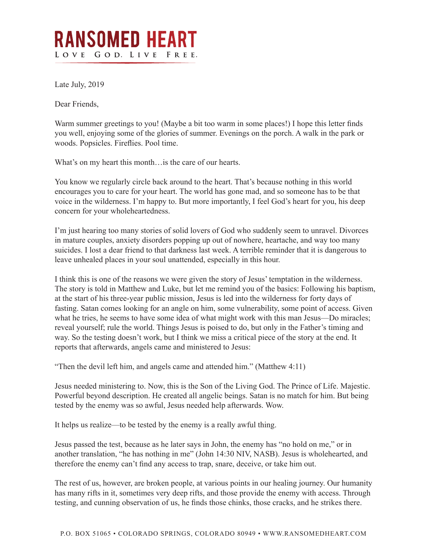## **RANSOMED HEART** LOVE GOD. LIVE FREE.

Late July, 2019

Dear Friends,

Warm summer greetings to you! (Maybe a bit too warm in some places!) I hope this letter finds you well, enjoying some of the glories of summer. Evenings on the porch. A walk in the park or woods. Popsicles. Fireflies. Pool time.

What's on my heart this month... is the care of our hearts.

You know we regularly circle back around to the heart. That's because nothing in this world encourages you to care for your heart. The world has gone mad, and so someone has to be that voice in the wilderness. I'm happy to. But more importantly, I feel God's heart for you, his deep concern for your wholeheartedness.

I'm just hearing too many stories of solid lovers of God who suddenly seem to unravel. Divorces in mature couples, anxiety disorders popping up out of nowhere, heartache, and way too many suicides. I lost a dear friend to that darkness last week. A terrible reminder that it is dangerous to leave unhealed places in your soul unattended, especially in this hour.

I think this is one of the reasons we were given the story of Jesus' temptation in the wilderness. The story is told in Matthew and Luke, but let me remind you of the basics: Following his baptism, at the start of his three-year public mission, Jesus is led into the wilderness for forty days of fasting. Satan comes looking for an angle on him, some vulnerability, some point of access. Given what he tries, he seems to have some idea of what might work with this man Jesus—Do miracles; reveal yourself; rule the world. Things Jesus is poised to do, but only in the Father's timing and way. So the testing doesn't work, but I think we miss a critical piece of the story at the end. It reports that afterwards, angels came and ministered to Jesus:

"Then the devil left him, and angels came and attended him." (Matthew 4:11)

Jesus needed ministering to. Now, this is the Son of the Living God. The Prince of Life. Majestic. Powerful beyond description. He created all angelic beings. Satan is no match for him. But being tested by the enemy was so awful, Jesus needed help afterwards. Wow.

It helps us realize—to be tested by the enemy is a really awful thing.

Jesus passed the test, because as he later says in John, the enemy has "no hold on me," or in another translation, "he has nothing in me" (John 14:30 NIV, NASB). Jesus is wholehearted, and therefore the enemy can't find any access to trap, snare, deceive, or take him out.

The rest of us, however, are broken people, at various points in our healing journey. Our humanity has many rifts in it, sometimes very deep rifts, and those provide the enemy with access. Through testing, and cunning observation of us, he finds those chinks, those cracks, and he strikes there.